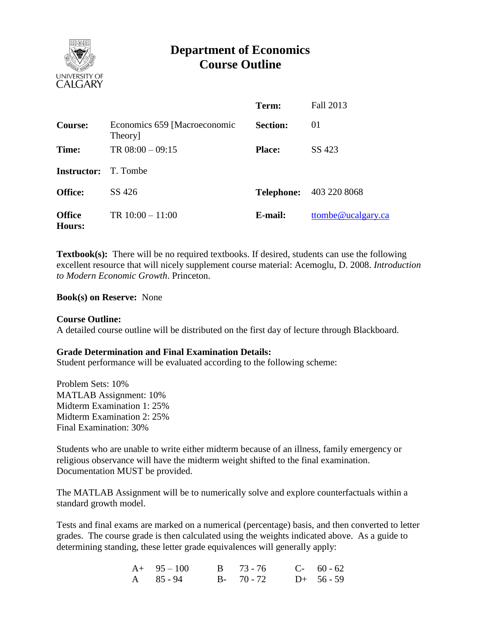

# **Department of Economics Course Outline**

|                             |                                         | Term:           | Fall 2013                      |
|-----------------------------|-----------------------------------------|-----------------|--------------------------------|
| Course:                     | Economics 659 [Macroeconomic<br>Theory] | <b>Section:</b> | 01                             |
| Time:                       | TR $08:00 - 09:15$                      | <b>Place:</b>   | SS 423                         |
| <b>Instructor:</b> T. Tombe |                                         |                 |                                |
| <b>Office:</b>              | SS 426                                  |                 | <b>Telephone:</b> 403 220 8068 |
| <b>Office</b><br>Hours:     | TR $10:00 - 11:00$                      | E-mail:         | ttombe@ucalgary.ca             |

**Textbook(s):** There will be no required textbooks. If desired, students can use the following excellent resource that will nicely supplement course material: Acemoglu, D. 2008. *Introduction to Modern Economic Growth*. Princeton.

### **Book(s) on Reserve:** None

### **Course Outline:**

A detailed course outline will be distributed on the first day of lecture through Blackboard.

#### **Grade Determination and Final Examination Details:**

Student performance will be evaluated according to the following scheme:

Problem Sets: 10% MATLAB Assignment: 10% Midterm Examination 1: 25% Midterm Examination 2: 25% Final Examination: 30%

Students who are unable to write either midterm because of an illness, family emergency or religious observance will have the midterm weight shifted to the final examination. Documentation MUST be provided.

The MATLAB Assignment will be to numerically solve and explore counterfactuals within a standard growth model.

Tests and final exams are marked on a numerical (percentage) basis, and then converted to letter grades. The course grade is then calculated using the weights indicated above. As a guide to determining standing, these letter grade equivalences will generally apply:

| $A+95-100$        | $B = 73 - 76$ | $C-60-62$    |
|-------------------|---------------|--------------|
| $A \quad 85 - 94$ | $B - 70 - 72$ | $D+ 56 - 59$ |